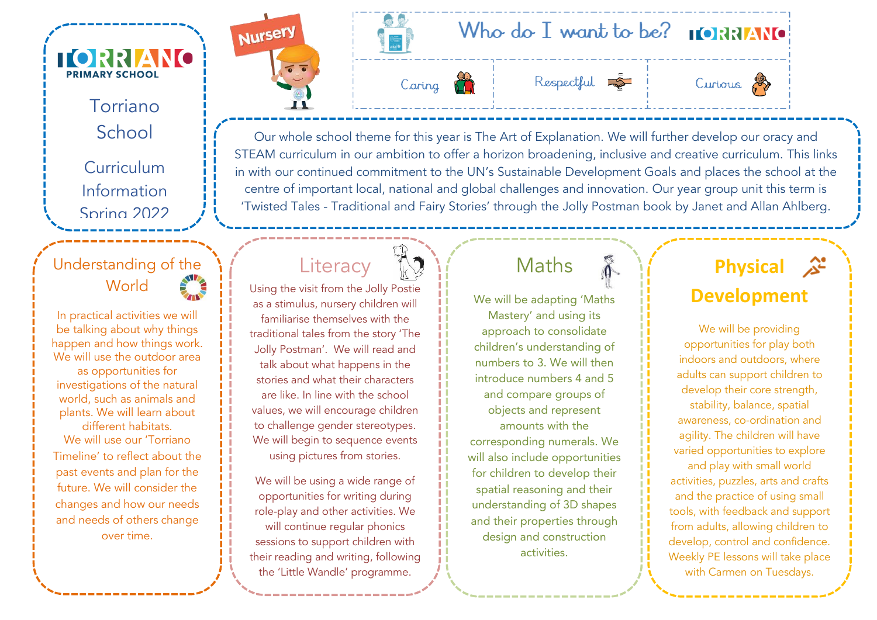Torriano School

**TORRIANO** PRIMARY SCHOOL

> Curriculum Information Spring 2022

#### Understanding of the World

In practical activities we will be talking about why things happen and how things work. We will use the outdoor area as opportunities for investigations of the natural world, such as animals and plants. We will learn about different habitats.

We will use our 'Torriano Timeline' to reflect about the past events and plan for the future. We will consider the changes and how our needs and needs of others change over time.

We will be looking at changes















Our whole school theme for this year is The Art of Explanation. We will further develop our oracy and STEAM curriculum in our ambition to offer a horizon broadening, inclusive and creative curriculum. This links in with our continued commitment to the UN's Sustainable Development Goals and places the school at the centre of important local, national and global challenges and innovation. Our year group unit this term is 'Twisted Tales - Traditional and Fairy Stories' through the Jolly Postman book by Janet and Allan Ahlberg.

# **Literacy**



Using the visit from the Jolly Postie as a stimulus, nursery children will familiarise themselves with the traditional tales from the story 'The Jolly Postman'. We will read and talk about what happens in the stories and what their characters are like. In line with the school values, we will encourage children to challenge gender stereotypes. We will begin to sequence events using pictures from stories.

We will be using a wide range of opportunities for writing during role-play and other activities. We will continue regular phonics sessions to support children with their reading and writing, following the 'Little Wandle' programme.

## Maths

We will be adapting 'Maths Mastery' and using its approach to consolidate children's understanding of numbers to 3. We will then introduce numbers 4 and 5 and compare groups of objects and represent amounts with the corresponding numerals. We will also include opportunities

for children to develop their spatial reasoning and their understanding of 3D shapes and their properties through design and construction activities.

**Physical**  ્∆ર્ **Development**

We will be providing opportunities for play both indoors and outdoors, where adults can support children to develop their core strength, stability, balance, spatial awareness, co-ordination and agility. The children will have varied opportunities to explore and play with small world activities, puzzles, arts and crafts and the practice of using small tools, with feedback and support from adults, allowing children to develop, control and confidence. Weekly PE lessons will take place with Carmen on Tuesdays.